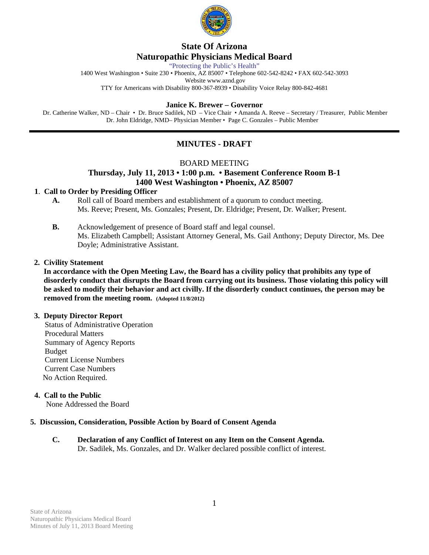

# **State Of Arizona Naturopathic Physicians Medical Board**

"Protecting the Public's Health"

1400 West Washington • Suite 230 • Phoenix, AZ 85007 • Telephone 602-542-8242 • FAX 602-542-3093

Website www.aznd.gov

TTY for Americans with Disability 800-367-8939 • Disability Voice Relay 800-842-4681

#### **Janice K. Brewer – Governor**

 Dr. Catherine Walker, ND – Chair • Dr. Bruce Sadilek, ND – Vice Chair • Amanda A. Reeve – Secretary / Treasurer, Public Member Dr. John Eldridge, NMD– Physician Member • Page C. Gonzales – Public Member

# **MINUTES - DRAFT**

# BOARD MEETING

# **Thursday, July 11, 2013 • 1:00 p.m. • Basement Conference Room B-1 1400 West Washington • Phoenix, AZ 85007**

#### **1**. **Call to Order by Presiding Officer**

- **A.** Roll call of Board members and establishment of a quorum to conduct meeting. Ms. Reeve; Present, Ms. Gonzales; Present, Dr. Eldridge; Present, Dr. Walker; Present.
- **B.** Acknowledgement of presence of Board staff and legal counsel. Ms. Elizabeth Campbell; Assistant Attorney General, Ms. Gail Anthony; Deputy Director, Ms. Dee Doyle; Administrative Assistant.

#### **2. Civility Statement**

 **In accordance with the Open Meeting Law, the Board has a civility policy that prohibits any type of disorderly conduct that disrupts the Board from carrying out its business. Those violating this policy will be asked to modify their behavior and act civilly. If the disorderly conduct continues, the person may be removed from the meeting room. (Adopted 11/8/2012)** 

#### **3. Deputy Director Report**

 Status of Administrative Operation Procedural Matters Summary of Agency Reports Budget Current License Numbers Current Case Numbers No Action Required.

# **4. Call to the Public**

None Addressed the Board

#### **5. Discussion, Consideration, Possible Action by Board of Consent Agenda**

**C. Declaration of any Conflict of Interest on any Item on the Consent Agenda.**  Dr. Sadilek, Ms. Gonzales, and Dr. Walker declared possible conflict of interest.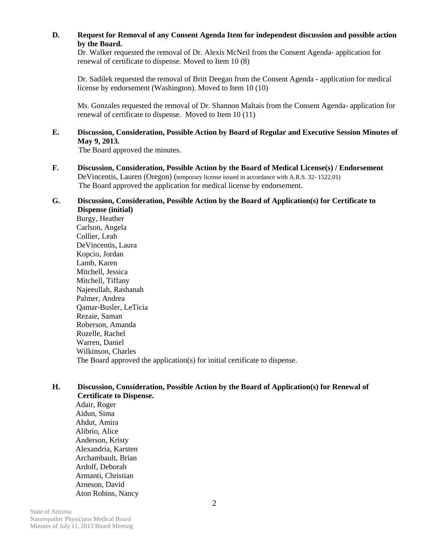# **D. Request for Removal of any Consent Agenda Item for independent discussion and possible action by the Board.**

Dr. Walker requested the removal of Dr. Alexis McNeil from the Consent Agenda- application for renewal of certificate to dispense. Moved to Item 10 (8)

Dr. Sadilek requested the removal of Britt Deegan from the Consent Agenda - application for medical license by endorsement (Washington). Moved to Item 10 (10)

Ms. Gonzales requested the removal of Dr. Shannon Maltais from the Consent Agenda- application for renewal of certificate to dispense. Moved to Item 10 (11)

### **E. Discussion, Consideration, Possible Action by Board of Regular and Executive Session Minutes of May 9, 2013.**

The Board approved the minutes.

**F. Discussion, Consideration, Possible Action by the Board of Medical License(s) / Endorsement**  DeVincentis, Lauren (Oregon) (temporary license issued in accordance with A.R.S. 32- 1522.01) The Board approved the application for medical license by endorsement.

#### **G. Discussion, Consideration, Possible Action by the Board of Application(s) for Certificate to Dispense (initial)**

 Burgy, Heather Carlson, Angela Collier, Leah DeVincentis, Laura Kopcio, Jordan Lamb, Karen Mitchell, Jessica Mitchell, Tiffany Najeeullah, Rashanah Palmer, Andrea Qamar-Busler, LeTicia Rezaie, Saman Roberson, Amanda Rozelle, Rachel Warren, Daniel Wilkinson, Charles The Board approved the application(s) for initial certificate to dispense.

#### **H. Discussion, Consideration, Possible Action by the Board of Application(s) for Renewal of Certificate to Dispense.**

Adair, Roger Aidun, Sima Ahdut, Amira Alibrio, Alice Anderson, Kristy Alexandria, Karsten Archambault, Brian Ardolf, Deborah Armanti, Christian Arneson, David Aton Robins, Nancy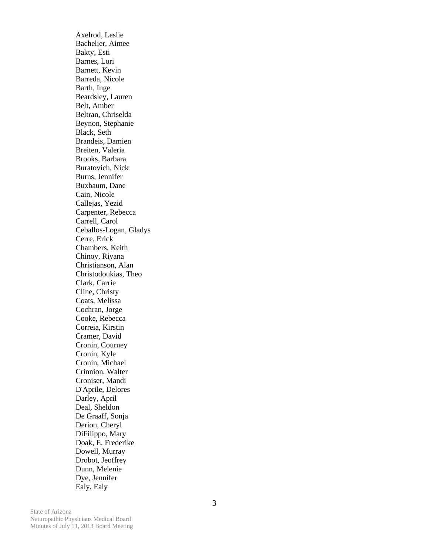Axelrod, Leslie Bachelier, Aimee Bakty, Esti Barnes, Lori Barnett, Kevin Barreda, Nicole Barth, Inge Beardsley, Lauren Belt, Amber Beltran, Chriselda Beynon, Stephanie Black, Seth Brandeis, Damien Breiten, Valeria Brooks, Barbara Buratovich, Nick Burns, Jennifer Buxbaum, Dane Cain, Nicole Callejas, Yezid Carpenter, Rebecca Carrell, Carol Ceballos-Logan, Gladys Cerre, Erick Chambers, Keith Chinoy, Riyana Christianson, Alan Christodoukias, Theo Clark, Carrie Cline, Christy Coats, Melissa Cochran, Jorge Cooke, Rebecca Correia, Kirstin Cramer, David Cronin, Courney Cronin, Kyle Cronin, Michael Crinnion, Walter Croniser, Mandi D'Aprile, Delores Darley, April Deal, Sheldon De Graaff, Sonja Derion, Cheryl DiFilippo, Mary Doak, E. Frederike Dowell, Murray Drobot, Jeoffrey Dunn, Melenie Dye, Jennifer Ealy, Ealy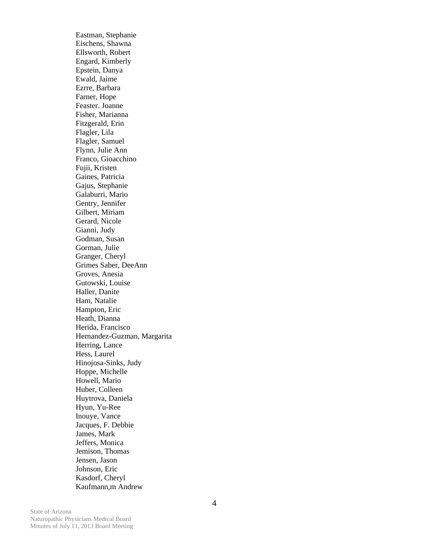Eastman, Stephanie Eischens, Shawna Ellsworth, Robert Engard, Kimberly Epstein, Danya Ewald, Jaime Ezrre, Barbara Farner, Hope Feaster. Joanne Fisher, Marianna Fitzgerald, Erin Flagler, Lila Flagler, Samuel Flynn, Julie Ann Franco, Gioacchino Fujii, Kristen Gaines, Patricia Gajus, Stephanie Galaburri, Mario Gentry, Jennifer Gilbert, Miriam Gerard, Nicole Gianni, Judy Godman, Susan Gorman, Julie Granger, Cheryl Grimes Saber, DeeAnn Groves, Anesia Gutowski, Louise Haller, Danite Ham, Natalie Hampton, Eric Heath, Dianna Herida, Francisco Hernandez-Guzman, Margarita Herring, Lance Hess, Laurel Hinojosa-Sinks, Judy Hoppe, Michelle Howell, Mario Huber, Colleen Huytrova, Daniela Hyun, Yu-Ree Inouye, Vance Jacques, F. Debbie James, Mark Jeffers, Monica Jemison, Thomas Jensen, Jason Johnson, Eric Kasdorf, Cheryl Kaufmann,m Andrew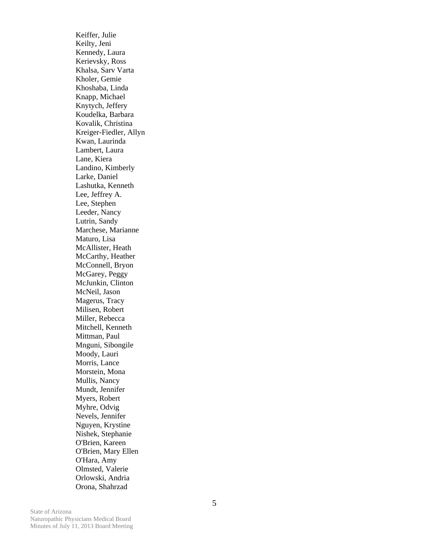Keiffer, Julie Keilty, Jeni Kennedy, Laura Kerievsky, Ross Khalsa, Sarv Varta Kholer, Gemie Khoshaba, Linda Knapp, Michael Knytych, Jeffery Koudelka, Barbara Kovalik, Christina Kreiger-Fiedler, Allyn Kwan, Laurinda Lambert, Laura Lane, Kiera Landino, Kimberly Larke, Daniel Lashutka, Kenneth Lee, Jeffrey A. Lee, Stephen Leeder, Nancy Lutrin, Sandy Marchese, Marianne Maturo, Lisa McAllister, Heath McCarthy, Heather McConnell, Bryon McGarey, Peggy McJunkin, Clinton McNeil, Jason Magerus, Tracy Milisen, Robert Miller, Rebecca Mitchell, Kenneth Mittman, Paul Mnguni, Sibongile Moody, Lauri Morris, Lance Morstein, Mona Mullis, Nancy Mundt, Jennifer Myers, Robert Myhre, Odvig Nevels, Jennifer Nguyen, Krystine Nishek, Stephanie O'Brien, Kareen O'Brien, Mary Ellen O'Hara, Amy Olmsted, Valerie Orlowski, Andria Orona, Shahrzad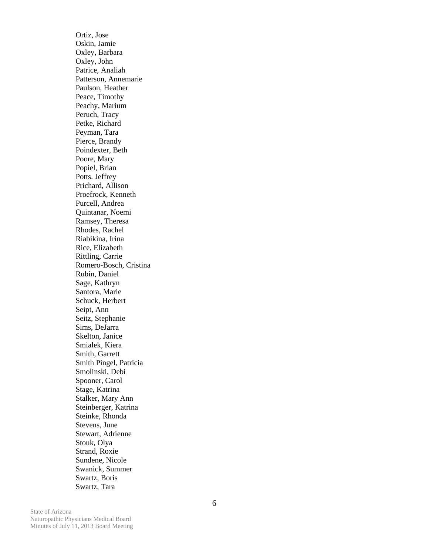Ortiz, Jose Oskin, Jamie Oxley, Barbara Oxley, John Patrice, Analiah Patterson, Annemarie Paulson, Heather Peace, Timothy Peachy, Marium Peruch, Tracy Petke, Richard Peyman, Tara Pierce, Brandy Poindexter, Beth Poore, Mary Popiel, Brian Potts. Jeffrey Prichard, Allison Proefrock, Kenneth Purcell, Andrea Quintanar, Noemi Ramsey, Theresa Rhodes, Rachel Riabikina, Irina Rice, Elizabeth Rittling, Carrie Romero-Bosch, Cristina Rubin, Daniel Sage, Kathryn Santora, Marie Schuck, Herbert Seipt, Ann Seitz, Stephanie Sims, DeJarra Skelton, Janice Smialek, Kiera Smith, Garrett Smith Pingel, Patricia Smolinski, Debi Spooner, Carol Stage, Katrina Stalker, Mary Ann Steinberger, Katrina Steinke, Rhonda Stevens, June Stewart, Adrienne Stouk, Olya Strand, Roxie Sundene, Nicole Swanick, Summer Swartz, Boris Swartz, Tara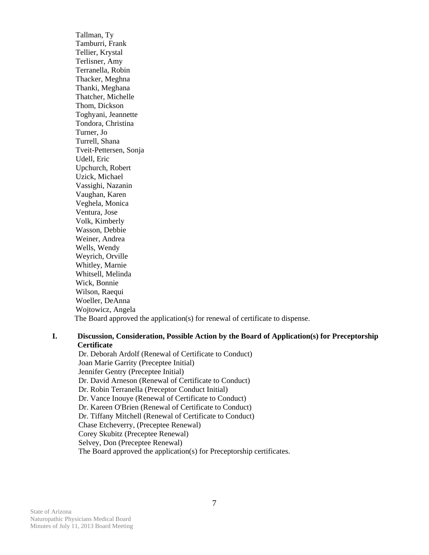Tallman, Ty Tamburri, Frank Tellier, Krystal Terlisner, Amy Terranella, Robin Thacker, Meghna Thanki, Meghana Thatcher, Michelle Thom, Dickson Toghyani, Jeannette Tondora, Christina Turner, Jo Turrell, Shana Tveit-Pettersen, Sonja Udell, Eric Upchurch, Robert Uzick, Michael Vassighi, Nazanin Vaughan, Karen Veghela, Monica Ventura, Jose Volk, Kimberly Wasson, Debbie Weiner, Andrea Wells, Wendy Weyrich, Orville Whitley, Marnie Whitsell, Melinda Wick, Bonnie Wilson, Raequi Woeller, DeAnna Wojtowicz, Angela The Board approved the application(s) for renewal of certificate to dispense.

### **I. Discussion, Consideration, Possible Action by the Board of Application(s) for Preceptorship Certificate**

 Dr. Deborah Ardolf (Renewal of Certificate to Conduct) Joan Marie Garrity (Preceptee Initial) Jennifer Gentry (Preceptee Initial) Dr. David Arneson (Renewal of Certificate to Conduct) Dr. Robin Terranella (Preceptor Conduct Initial) Dr. Vance Inouye (Renewal of Certificate to Conduct) Dr. Kareen O'Brien (Renewal of Certificate to Conduct) Dr. Tiffany Mitchell (Renewal of Certificate to Conduct) Chase Etcheverry, (Preceptee Renewal) Corey Skubitz (Preceptee Renewal) Selvey, Don (Preceptee Renewal) The Board approved the application(s) for Preceptorship certificates.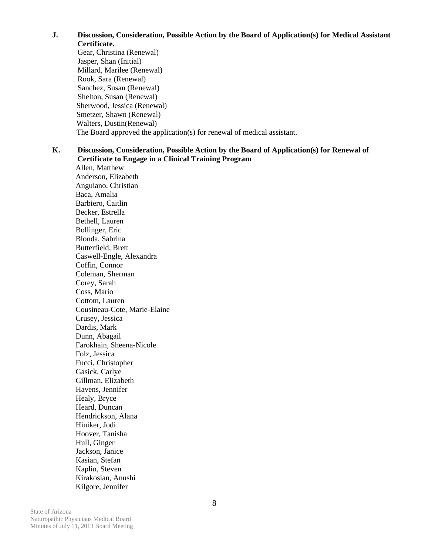**J. Discussion, Consideration, Possible Action by the Board of Application(s) for Medical Assistant** 

**Certificate.** 

 Gear, Christina (Renewal) Jasper, Shan (Initial) Millard, Marilee (Renewal) Rook, Sara (Renewal) Sanchez, Susan (Renewal) Shelton, Susan (Renewal) Sherwood, Jessica (Renewal) Smetzer, Shawn (Renewal) Walters, Dustin(Renewal) The Board approved the application(s) for renewal of medical assistant.

#### **K. Discussion, Consideration, Possible Action by the Board of Application(s) for Renewal of Certificate to Engage in a Clinical Training Program**

Allen, Matthew Anderson, Elizabeth Anguiano, Christian Baca, Amalia Barbiero, Caitlin Becker, Estrella Bethell, Lauren Bollinger, Eric Blonda, Sabrina Butterfield, Brett Caswell-Engle, Alexandra Coffin, Connor Coleman, Sherman Corey, Sarah Coss, Mario Cottom, Lauren Cousineau-Cote, Marie-Elaine Crusey, Jessica Dardis, Mark Dunn, Abagail Farokhain, Sheena-Nicole Folz, Jessica Fucci, Christopher Gasick, Carlye Gillman, Elizabeth Havens, Jennifer Healy, Bryce Heard, Duncan Hendrickson, Alana Hiniker, Jodi Hoover, Tanisha Hull, Ginger Jackson, Janice Kasian, Stefan Kaplin, Steven Kirakosian, Anushi Kilgore, Jennifer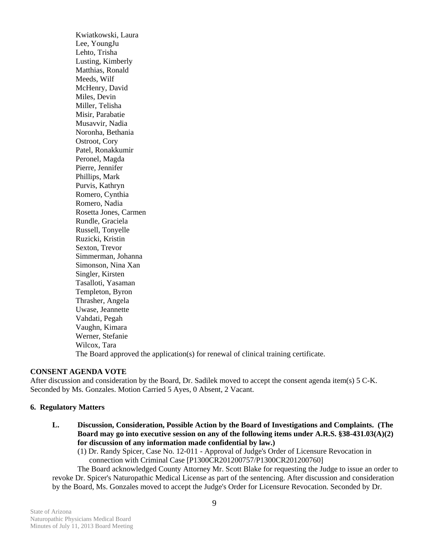Kwiatkowski, Laura Lee, YoungJu Lehto, Trisha Lusting, Kimberly Matthias, Ronald Meeds, Wilf McHenry, David Miles, Devin Miller, Telisha Misir, Parabatie Musavvir, Nadia Noronha, Bethania Ostroot, Cory Patel, Ronakkumir Peronel, Magda Pierre, Jennifer Phillips, Mark Purvis, Kathryn Romero, Cynthia Romero, Nadia Rosetta Jones, Carmen Rundle, Graciela Russell, Tonyelle Ruzicki, Kristin Sexton, Trevor Simmerman, Johanna Simonson, Nina Xan Singler, Kirsten Tasalloti, Yasaman Templeton, Byron Thrasher, Angela Uwase, Jeannette Vahdati, Pegah Vaughn, Kimara Werner, Stefanie Wilcox, Tara The Board approved the application(s) for renewal of clinical training certificate.

#### **CONSENT AGENDA VOTE**

After discussion and consideration by the Board, Dr. Sadilek moved to accept the consent agenda item(s) 5 C-K. Seconded by Ms. Gonzales. Motion Carried 5 Ayes, 0 Absent, 2 Vacant.

#### **6. Regulatory Matters**

- **L. Discussion, Consideration, Possible Action by the Board of Investigations and Complaints. (The Board may go into executive session on any of the following items under A.R.S. §38-431.03(A)(2) for discussion of any information made confidential by law.)** 
	- (1) Dr. Randy Spicer, Case No. 12-011 Approval of Judge's Order of Licensure Revocation in connection with Criminal Case [P1300CR201200757/P1300CR201200760]

 The Board acknowledged County Attorney Mr. Scott Blake for requesting the Judge to issue an order to revoke Dr. Spicer's Naturopathic Medical License as part of the sentencing. After discussion and consideration by the Board, Ms. Gonzales moved to accept the Judge's Order for Licensure Revocation. Seconded by Dr.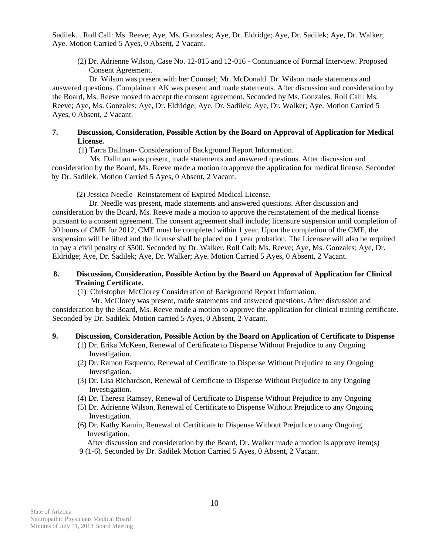Sadilek. . Roll Call: Ms. Reeve; Aye, Ms. Gonzales; Aye, Dr. Eldridge; Aye, Dr. Sadilek; Aye, Dr. Walker; Aye. Motion Carried 5 Ayes, 0 Absent, 2 Vacant.

 (2) Dr. Adrienne Wilson, Case No. 12-015 and 12-016 - Continuance of Formal Interview. Proposed Consent Agreement.

 Dr. Wilson was present with her Counsel; Mr. McDonald. Dr. Wilson made statements and answered questions. Complainant AK was present and made statements. After discussion and consideration by the Board, Ms. Reeve moved to accept the consent agreement. Seconded by Ms. Gonzales. Roll Call: Ms. Reeve; Aye, Ms. Gonzales; Aye, Dr. Eldridge; Aye, Dr. Sadilek; Aye, Dr. Walker; Aye. Motion Carried 5 Ayes, 0 Absent, 2 Vacant.

### **7. Discussion, Consideration, Possible Action by the Board on Approval of Application for Medical License.**

(1) Tarra Dallman- Consideration of Background Report Information.

 Ms. Dallman was present, made statements and answered questions. After discussion and consideration by the Board, Ms. Reeve made a motion to approve the application for medical license. Seconded by Dr. Sadilek. Motion Carried 5 Ayes, 0 Absent, 2 Vacant.

(2) Jessica Needle- Reinstatement of Expired Medical License.

 Dr. Needle was present, made statements and answered questions. After discussion and consideration by the Board, Ms. Reeve made a motion to approve the reinstatement of the medical license pursuant to a consent agreement. The consent agreement shall include; licensure suspension until completion of 30 hours of CME for 2012, CME must be completed within 1 year. Upon the completion of the CME, the suspension will be lifted and the license shall be placed on 1 year probation. The Licensee will also be required to pay a civil penalty of \$500. Seconded by Dr. Walker. Roll Call: Ms. Reeve; Aye, Ms. Gonzales; Aye, Dr. Eldridge; Aye, Dr. Sadilek; Aye, Dr. Walker; Aye. Motion Carried 5 Ayes, 0 Absent, 2 Vacant.

#### **8. Discussion, Consideration, Possible Action by the Board on Approval of Application for Clinical Training Certificate.**

(1) Christopher McClorey Consideration of Background Report Information.

 Mr. McClorey was present, made statements and answered questions. After discussion and consideration by the Board, Ms. Reeve made a motion to approve the application for clinical training certificate. Seconded by Dr. Sadilek. Motion carried 5 Ayes, 0 Absent, 2 Vacant.

# **9. Discussion, Consideration, Possible Action by the Board on Application of Certificate to Dispense**

- (1) Dr. Erika McKeen, Renewal of Certificate to Dispense Without Prejudice to any Ongoing Investigation.
- (2) Dr. Ramon Esquerdo, Renewal of Certificate to Dispense Without Prejudice to any Ongoing Investigation.
- (3) Dr. Lisa Richardson, Renewal of Certificate to Dispense Without Prejudice to any Ongoing Investigation.
- (4) Dr. Theresa Ramsey, Renewal of Certificate to Dispense Without Prejudice to any Ongoing
- (5) Dr. Adrienne Wilson, Renewal of Certificate to Dispense Without Prejudice to any Ongoing Investigation.
- (6) Dr. Kathy Kamin, Renewal of Certificate to Dispense Without Prejudice to any Ongoing Investigation.

After discussion and consideration by the Board, Dr. Walker made a motion is approve item(s)

9 (1-6). Seconded by Dr. Sadilek Motion Carried 5 Ayes, 0 Absent, 2 Vacant.